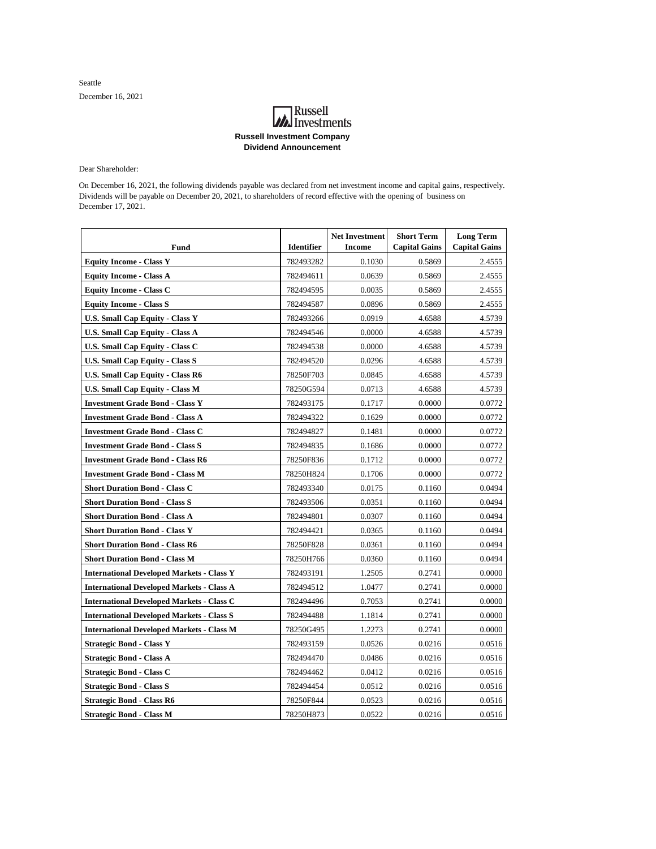Seattle December 16, 2021

## **A**<br>Investments **Russell Investment Company Dividend Announcement**

Dear Shareholder:

On December 16, 2021, the following dividends payable was declared from net investment income and capital gains, respectively. Dividends will be payable on December 20, 2021, to shareholders of record effective with the opening of business on December 17, 2021.

| Fund                                             | <b>Identifier</b> | <b>Net Investment</b><br><b>Income</b> | <b>Short Term</b><br><b>Capital Gains</b> | <b>Long Term</b><br><b>Capital Gains</b> |
|--------------------------------------------------|-------------------|----------------------------------------|-------------------------------------------|------------------------------------------|
| <b>Equity Income - Class Y</b>                   | 782493282         | 0.1030                                 | 0.5869                                    | 2.4555                                   |
| <b>Equity Income - Class A</b>                   | 782494611         | 0.0639                                 | 0.5869                                    | 2.4555                                   |
| <b>Equity Income - Class C</b>                   | 782494595         | 0.0035                                 | 0.5869                                    | 2.4555                                   |
| <b>Equity Income - Class S</b>                   | 782494587         | 0.0896                                 | 0.5869                                    | 2.4555                                   |
| <b>U.S. Small Cap Equity - Class Y</b>           | 782493266         | 0.0919                                 | 4.6588                                    | 4.5739                                   |
| <b>U.S. Small Cap Equity - Class A</b>           | 782494546         | 0.0000                                 | 4.6588                                    | 4.5739                                   |
| <b>U.S. Small Cap Equity - Class C</b>           | 782494538         | 0.0000                                 | 4.6588                                    | 4.5739                                   |
| U.S. Small Cap Equity - Class S                  | 782494520         | 0.0296                                 | 4.6588                                    | 4.5739                                   |
| <b>U.S. Small Cap Equity - Class R6</b>          | 78250F703         | 0.0845                                 | 4.6588                                    | 4.5739                                   |
| <b>U.S. Small Cap Equity - Class M</b>           | 78250G594         | 0.0713                                 | 4.6588                                    | 4.5739                                   |
| <b>Investment Grade Bond - Class Y</b>           | 782493175         | 0.1717                                 | 0.0000                                    | 0.0772                                   |
| <b>Investment Grade Bond - Class A</b>           | 782494322         | 0.1629                                 | 0.0000                                    | 0.0772                                   |
| <b>Investment Grade Bond - Class C</b>           | 782494827         | 0.1481                                 | 0.0000                                    | 0.0772                                   |
| <b>Investment Grade Bond - Class S</b>           | 782494835         | 0.1686                                 | 0.0000                                    | 0.0772                                   |
| <b>Investment Grade Bond - Class R6</b>          | 78250F836         | 0.1712                                 | 0.0000                                    | 0.0772                                   |
| <b>Investment Grade Bond - Class M</b>           | 78250H824         | 0.1706                                 | 0.0000                                    | 0.0772                                   |
| <b>Short Duration Bond - Class C</b>             | 782493340         | 0.0175                                 | 0.1160                                    | 0.0494                                   |
| <b>Short Duration Bond - Class S</b>             | 782493506         | 0.0351                                 | 0.1160                                    | 0.0494                                   |
| <b>Short Duration Bond - Class A</b>             | 782494801         | 0.0307                                 | 0.1160                                    | 0.0494                                   |
| <b>Short Duration Bond - Class Y</b>             | 782494421         | 0.0365                                 | 0.1160                                    | 0.0494                                   |
| <b>Short Duration Bond - Class R6</b>            | 78250F828         | 0.0361                                 | 0.1160                                    | 0.0494                                   |
| <b>Short Duration Bond - Class M</b>             | 78250H766         | 0.0360                                 | 0.1160                                    | 0.0494                                   |
| <b>International Developed Markets - Class Y</b> | 782493191         | 1.2505                                 | 0.2741                                    | 0.0000                                   |
| <b>International Developed Markets - Class A</b> | 782494512         | 1.0477                                 | 0.2741                                    | 0.0000                                   |
| <b>International Developed Markets - Class C</b> | 782494496         | 0.7053                                 | 0.2741                                    | 0.0000                                   |
| <b>International Developed Markets - Class S</b> | 782494488         | 1.1814                                 | 0.2741                                    | 0.0000                                   |
| <b>International Developed Markets - Class M</b> | 78250G495         | 1.2273                                 | 0.2741                                    | 0.0000                                   |
| <b>Strategic Bond - Class Y</b>                  | 782493159         | 0.0526                                 | 0.0216                                    | 0.0516                                   |
| <b>Strategic Bond - Class A</b>                  | 782494470         | 0.0486                                 | 0.0216                                    | 0.0516                                   |
| <b>Strategic Bond - Class C</b>                  | 782494462         | 0.0412                                 | 0.0216                                    | 0.0516                                   |
| <b>Strategic Bond - Class S</b>                  | 782494454         | 0.0512                                 | 0.0216                                    | 0.0516                                   |
| <b>Strategic Bond - Class R6</b>                 | 78250F844         | 0.0523                                 | 0.0216                                    | 0.0516                                   |
| <b>Strategic Bond - Class M</b>                  | 78250H873         | 0.0522                                 | 0.0216                                    | 0.0516                                   |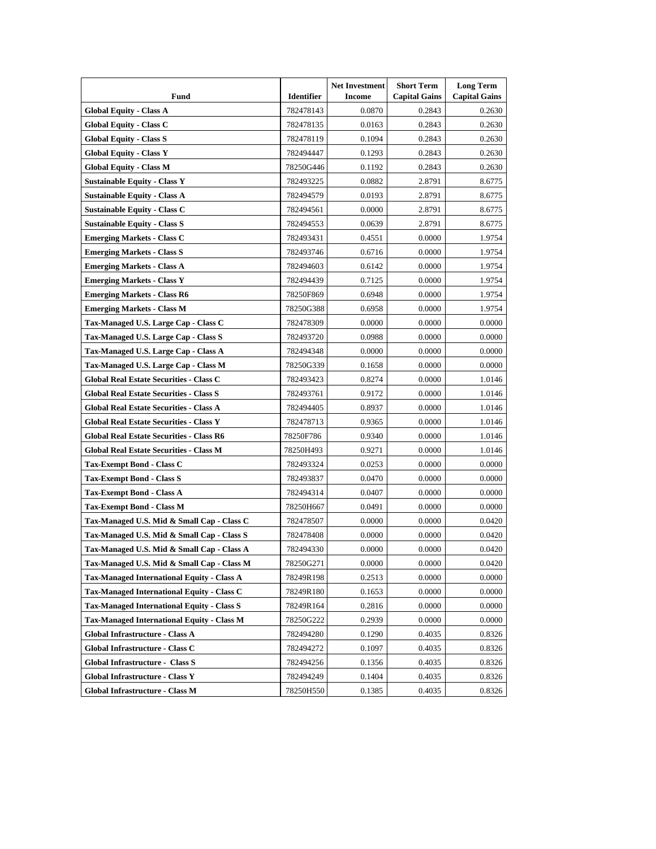| Fund                                              | <b>Identifier</b> | <b>Net Investment</b><br><b>Income</b> | <b>Short Term</b><br><b>Capital Gains</b> | <b>Long Term</b><br><b>Capital Gains</b> |
|---------------------------------------------------|-------------------|----------------------------------------|-------------------------------------------|------------------------------------------|
| <b>Global Equity - Class A</b>                    | 782478143         | 0.0870                                 | 0.2843                                    | 0.2630                                   |
| <b>Global Equity - Class C</b>                    | 782478135         | 0.0163                                 | 0.2843                                    | 0.2630                                   |
| <b>Global Equity - Class S</b>                    | 782478119         | 0.1094                                 | 0.2843                                    | 0.2630                                   |
| <b>Global Equity - Class Y</b>                    | 782494447         | 0.1293                                 | 0.2843                                    | 0.2630                                   |
| <b>Global Equity - Class M</b>                    | 78250G446         | 0.1192                                 | 0.2843                                    | 0.2630                                   |
| <b>Sustainable Equity - Class Y</b>               | 782493225         | 0.0882                                 | 2.8791                                    | 8.6775                                   |
| <b>Sustainable Equity - Class A</b>               | 782494579         | 0.0193                                 | 2.8791                                    | 8.6775                                   |
| <b>Sustainable Equity - Class C</b>               | 782494561         | 0.0000                                 | 2.8791                                    | 8.6775                                   |
| <b>Sustainable Equity - Class S</b>               | 782494553         | 0.0639                                 | 2.8791                                    | 8.6775                                   |
| <b>Emerging Markets - Class C</b>                 | 782493431         | 0.4551                                 | 0.0000                                    | 1.9754                                   |
| <b>Emerging Markets - Class S</b>                 | 782493746         | 0.6716                                 | 0.0000                                    | 1.9754                                   |
| <b>Emerging Markets - Class A</b>                 | 782494603         | 0.6142                                 | 0.0000                                    | 1.9754                                   |
| <b>Emerging Markets - Class Y</b>                 | 782494439         | 0.7125                                 | 0.0000                                    | 1.9754                                   |
| <b>Emerging Markets - Class R6</b>                | 78250F869         | 0.6948                                 | 0.0000                                    | 1.9754                                   |
| <b>Emerging Markets - Class M</b>                 | 78250G388         | 0.6958                                 | 0.0000                                    | 1.9754                                   |
| Tax-Managed U.S. Large Cap - Class C              | 782478309         | 0.0000                                 | 0.0000                                    | 0.0000                                   |
| Tax-Managed U.S. Large Cap - Class S              | 782493720         | 0.0988                                 | 0.0000                                    | 0.0000                                   |
| Tax-Managed U.S. Large Cap - Class A              | 782494348         | 0.0000                                 | 0.0000                                    | 0.0000                                   |
| Tax-Managed U.S. Large Cap - Class M              | 78250G339         | 0.1658                                 | 0.0000                                    | 0.0000                                   |
| <b>Global Real Estate Securities - Class C</b>    | 782493423         | 0.8274                                 | 0.0000                                    | 1.0146                                   |
| <b>Global Real Estate Securities - Class S</b>    | 782493761         | 0.9172                                 | 0.0000                                    | 1.0146                                   |
| <b>Global Real Estate Securities - Class A</b>    | 782494405         | 0.8937                                 | 0.0000                                    | 1.0146                                   |
| <b>Global Real Estate Securities - Class Y</b>    | 782478713         | 0.9365                                 | 0.0000                                    | 1.0146                                   |
| <b>Global Real Estate Securities - Class R6</b>   | 78250F786         | 0.9340                                 | 0.0000                                    | 1.0146                                   |
| <b>Global Real Estate Securities - Class M</b>    | 78250H493         | 0.9271                                 | 0.0000                                    | 1.0146                                   |
| Tax-Exempt Bond - Class C                         | 782493324         | 0.0253                                 | 0.0000                                    | 0.0000                                   |
| Tax-Exempt Bond - Class S                         | 782493837         | 0.0470                                 | 0.0000                                    | 0.0000                                   |
| Tax-Exempt Bond - Class A                         | 782494314         | 0.0407                                 | 0.0000                                    | 0.0000                                   |
| Tax-Exempt Bond - Class M                         | 78250H667         | 0.0491                                 | 0.0000                                    | 0.0000                                   |
| Tax-Managed U.S. Mid & Small Cap - Class C        | 782478507         | 0.0000                                 | 0.0000                                    | 0.0420                                   |
| Tax-Managed U.S. Mid & Small Cap - Class S        | 782478408         | 0.0000                                 | 0.0000                                    | 0.0420                                   |
| Tax-Managed U.S. Mid & Small Cap - Class A        | 782494330         | 0.0000                                 | 0.0000                                    | 0.0420                                   |
| Tax-Managed U.S. Mid & Small Cap - Class M        | 78250G271         | 0.0000                                 | 0.0000                                    | 0.0420                                   |
| <b>Tax-Managed International Equity - Class A</b> | 78249R198         | 0.2513                                 | 0.0000                                    | 0.0000                                   |
| <b>Tax-Managed International Equity - Class C</b> | 78249R180         | 0.1653                                 | 0.0000                                    | 0.0000                                   |
| <b>Tax-Managed International Equity - Class S</b> | 78249R164         | 0.2816                                 | 0.0000                                    | 0.0000                                   |
| <b>Tax-Managed International Equity - Class M</b> | 78250G222         | 0.2939                                 | 0.0000                                    | 0.0000                                   |
| Global Infrastructure - Class A                   | 782494280         | 0.1290                                 | 0.4035                                    | 0.8326                                   |
| Global Infrastructure - Class C                   | 782494272         | 0.1097                                 | 0.4035                                    | 0.8326                                   |
| Global Infrastructure - Class S                   | 782494256         | 0.1356                                 | 0.4035                                    | 0.8326                                   |
| Global Infrastructure - Class Y                   | 782494249         | 0.1404                                 | 0.4035                                    | 0.8326                                   |
| <b>Global Infrastructure - Class M</b>            | 78250H550         | 0.1385                                 | 0.4035                                    | 0.8326                                   |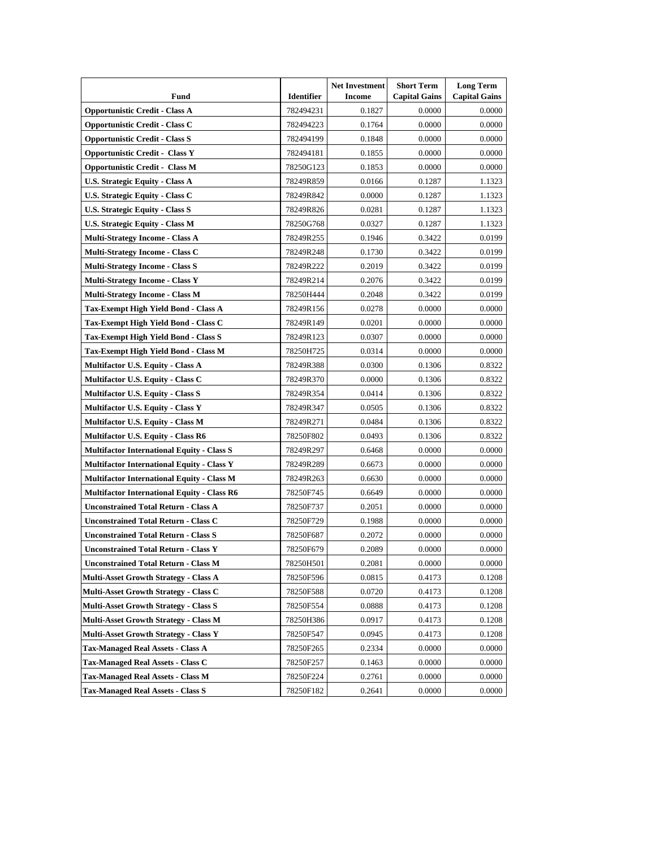| Fund                                               | <b>Identifier</b> | <b>Net Investment</b><br><b>Income</b> | <b>Short Term</b><br><b>Capital Gains</b> | <b>Long Term</b><br><b>Capital Gains</b> |
|----------------------------------------------------|-------------------|----------------------------------------|-------------------------------------------|------------------------------------------|
| <b>Opportunistic Credit - Class A</b>              | 782494231         | 0.1827                                 | 0.0000                                    | 0.0000                                   |
| <b>Opportunistic Credit - Class C</b>              | 782494223         | 0.1764                                 | 0.0000                                    | 0.0000                                   |
| <b>Opportunistic Credit - Class S</b>              | 782494199         | 0.1848                                 | 0.0000                                    | 0.0000                                   |
| <b>Opportunistic Credit - Class Y</b>              | 782494181         | 0.1855                                 | 0.0000                                    | 0.0000                                   |
| <b>Opportunistic Credit - Class M</b>              | 78250G123         | 0.1853                                 | 0.0000                                    | 0.0000                                   |
| <b>U.S. Strategic Equity - Class A</b>             | 78249R859         | 0.0166                                 | 0.1287                                    | 1.1323                                   |
| U.S. Strategic Equity - Class C                    | 78249R842         | 0.0000                                 | 0.1287                                    | 1.1323                                   |
| U.S. Strategic Equity - Class S                    | 78249R826         | 0.0281                                 | 0.1287                                    | 1.1323                                   |
| U.S. Strategic Equity - Class M                    | 78250G768         | 0.0327                                 | 0.1287                                    | 1.1323                                   |
| <b>Multi-Strategy Income - Class A</b>             | 78249R255         | 0.1946                                 | 0.3422                                    | 0.0199                                   |
| <b>Multi-Strategy Income - Class C</b>             | 78249R248         | 0.1730                                 | 0.3422                                    | 0.0199                                   |
| <b>Multi-Strategy Income - Class S</b>             | 78249R222         | 0.2019                                 | 0.3422                                    | 0.0199                                   |
| <b>Multi-Strategy Income - Class Y</b>             | 78249R214         | 0.2076                                 | 0.3422                                    | 0.0199                                   |
| <b>Multi-Strategy Income - Class M</b>             | 78250H444         | 0.2048                                 | 0.3422                                    | 0.0199                                   |
| Tax-Exempt High Yield Bond - Class A               | 78249R156         | 0.0278                                 | 0.0000                                    | 0.0000                                   |
| Tax-Exempt High Yield Bond - Class C               | 78249R149         | 0.0201                                 | 0.0000                                    | 0.0000                                   |
| Tax-Exempt High Yield Bond - Class S               | 78249R123         | 0.0307                                 | 0.0000                                    | 0.0000                                   |
| Tax-Exempt High Yield Bond - Class M               | 78250H725         | 0.0314                                 | 0.0000                                    | 0.0000                                   |
| <b>Multifactor U.S. Equity - Class A</b>           | 78249R388         | 0.0300                                 | 0.1306                                    | 0.8322                                   |
| Multifactor U.S. Equity - Class C                  | 78249R370         | 0.0000                                 | 0.1306                                    | 0.8322                                   |
| Multifactor U.S. Equity - Class S                  | 78249R354         | 0.0414                                 | 0.1306                                    | 0.8322                                   |
| <b>Multifactor U.S. Equity - Class Y</b>           | 78249R347         | 0.0505                                 | 0.1306                                    | 0.8322                                   |
| <b>Multifactor U.S. Equity - Class M</b>           | 78249R271         | 0.0484                                 | 0.1306                                    | 0.8322                                   |
| <b>Multifactor U.S. Equity - Class R6</b>          | 78250F802         | 0.0493                                 | 0.1306                                    | 0.8322                                   |
| <b>Multifactor International Equity - Class S</b>  | 78249R297         | 0.6468                                 | 0.0000                                    | 0.0000                                   |
| <b>Multifactor International Equity - Class Y</b>  | 78249R289         | 0.6673                                 | 0.0000                                    | 0.0000                                   |
| <b>Multifactor International Equity - Class M</b>  | 78249R263         | 0.6630                                 | 0.0000                                    | 0.0000                                   |
| <b>Multifactor International Equity - Class R6</b> | 78250F745         | 0.6649                                 | 0.0000                                    | 0.0000                                   |
| <b>Unconstrained Total Return - Class A</b>        | 78250F737         | 0.2051                                 | 0.0000                                    | 0.0000                                   |
| <b>Unconstrained Total Return - Class C</b>        | 78250F729         | 0.1988                                 | 0.0000                                    | 0.0000                                   |
| <b>Unconstrained Total Return - Class S</b>        | 78250F687         | 0.2072                                 | 0.0000                                    | 0.0000                                   |
| <b>Unconstrained Total Return - Class Y</b>        | 78250F679         | 0.2089                                 | 0.0000                                    | 0.0000                                   |
| <b>Unconstrained Total Return - Class M</b>        | 78250H501         | 0.2081                                 | 0.0000                                    | 0.0000                                   |
| <b>Multi-Asset Growth Strategy - Class A</b>       | 78250F596         | 0.0815                                 | 0.4173                                    | 0.1208                                   |
| Multi-Asset Growth Strategy - Class C              | 78250F588         | 0.0720                                 | 0.4173                                    | 0.1208                                   |
| <b>Multi-Asset Growth Strategy - Class S</b>       | 78250F554         | 0.0888                                 | 0.4173                                    | 0.1208                                   |
| <b>Multi-Asset Growth Strategy - Class M</b>       | 78250H386         | 0.0917                                 | 0.4173                                    | 0.1208                                   |
| <b>Multi-Asset Growth Strategy - Class Y</b>       | 78250F547         | 0.0945                                 | 0.4173                                    | 0.1208                                   |
| <b>Tax-Managed Real Assets - Class A</b>           | 78250F265         | 0.2334                                 | 0.0000                                    | 0.0000                                   |
| Tax-Managed Real Assets - Class C                  | 78250F257         | 0.1463                                 | 0.0000                                    | 0.0000                                   |
| <b>Tax-Managed Real Assets - Class M</b>           | 78250F224         | 0.2761                                 | 0.0000                                    | 0.0000                                   |
| <b>Tax-Managed Real Assets - Class S</b>           | 78250F182         | 0.2641                                 | 0.0000                                    | 0.0000                                   |